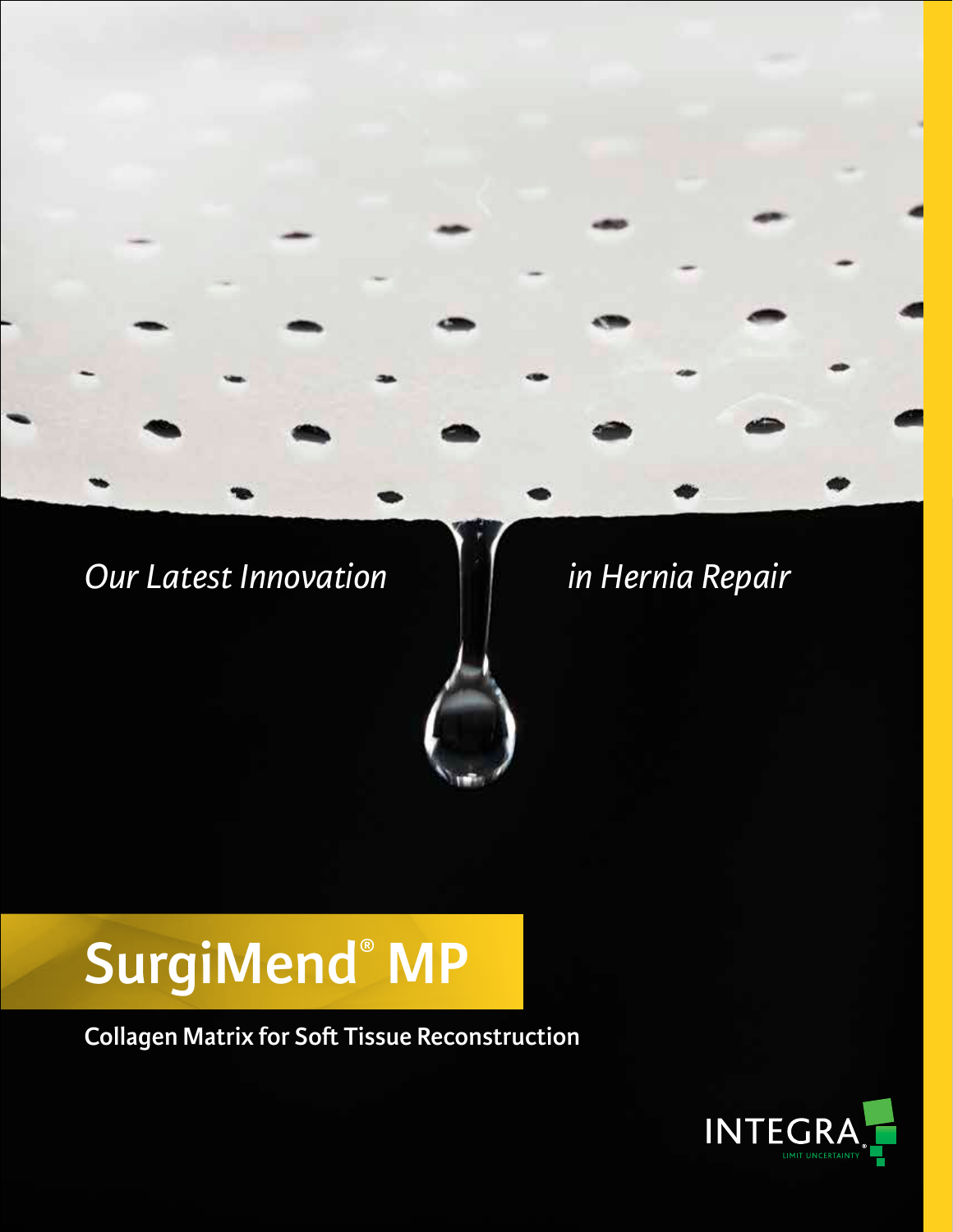## *Our Latest Innovation in Hernia Repair*

## **SurgiMend® MP**

**Collagen Matrix for Soft Tissue Reconstruction**

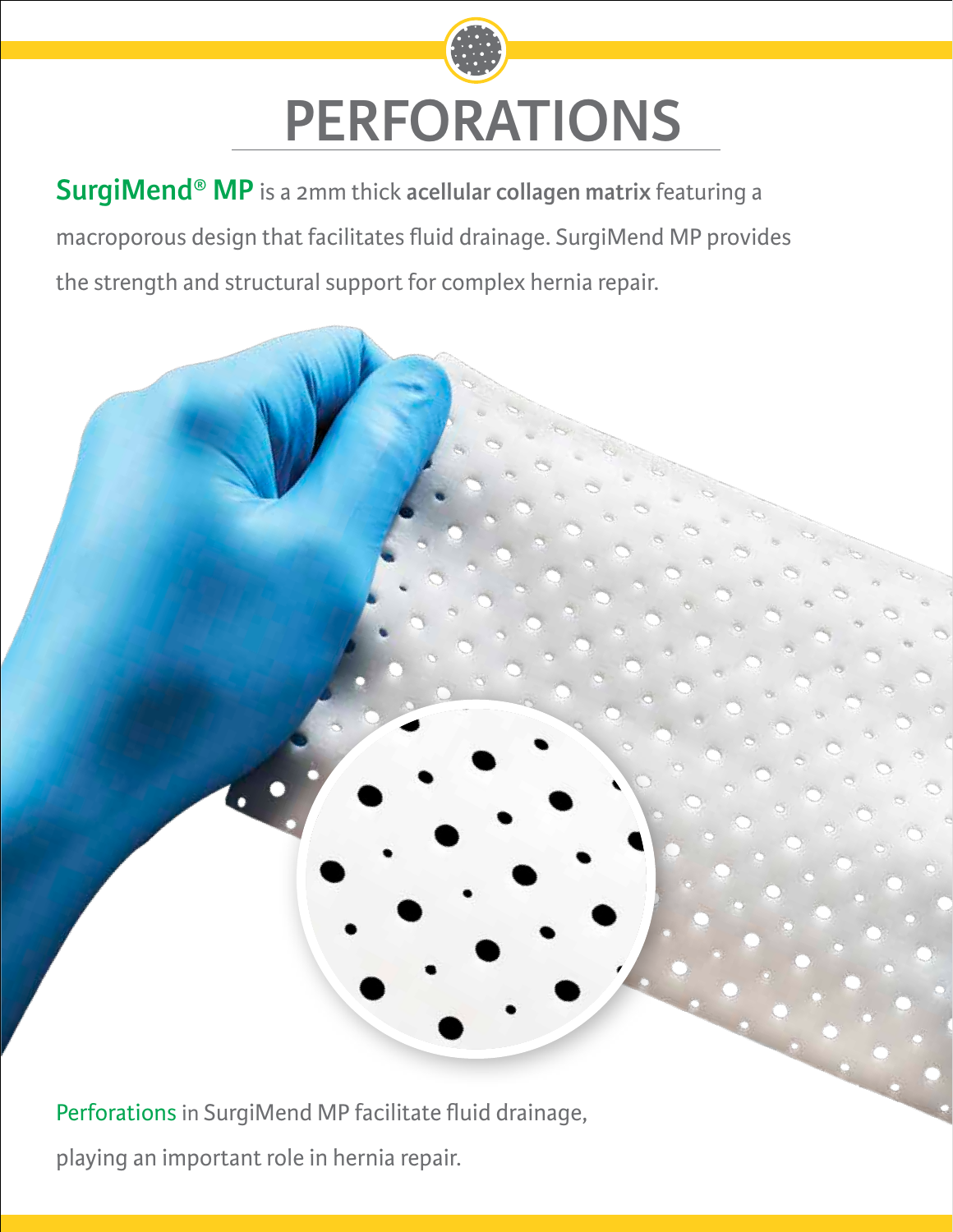# **PERFORATIONS**

**SurgiMend® MP** is a 2mm thick **acellular collagen matrix** featuring a macroporous design that facilitates fluid drainage. SurgiMend MP provides the strength and structural support for complex hernia repair.

Perforations in SurgiMend MP facilitate fluid drainage,

playing an important role in hernia repair.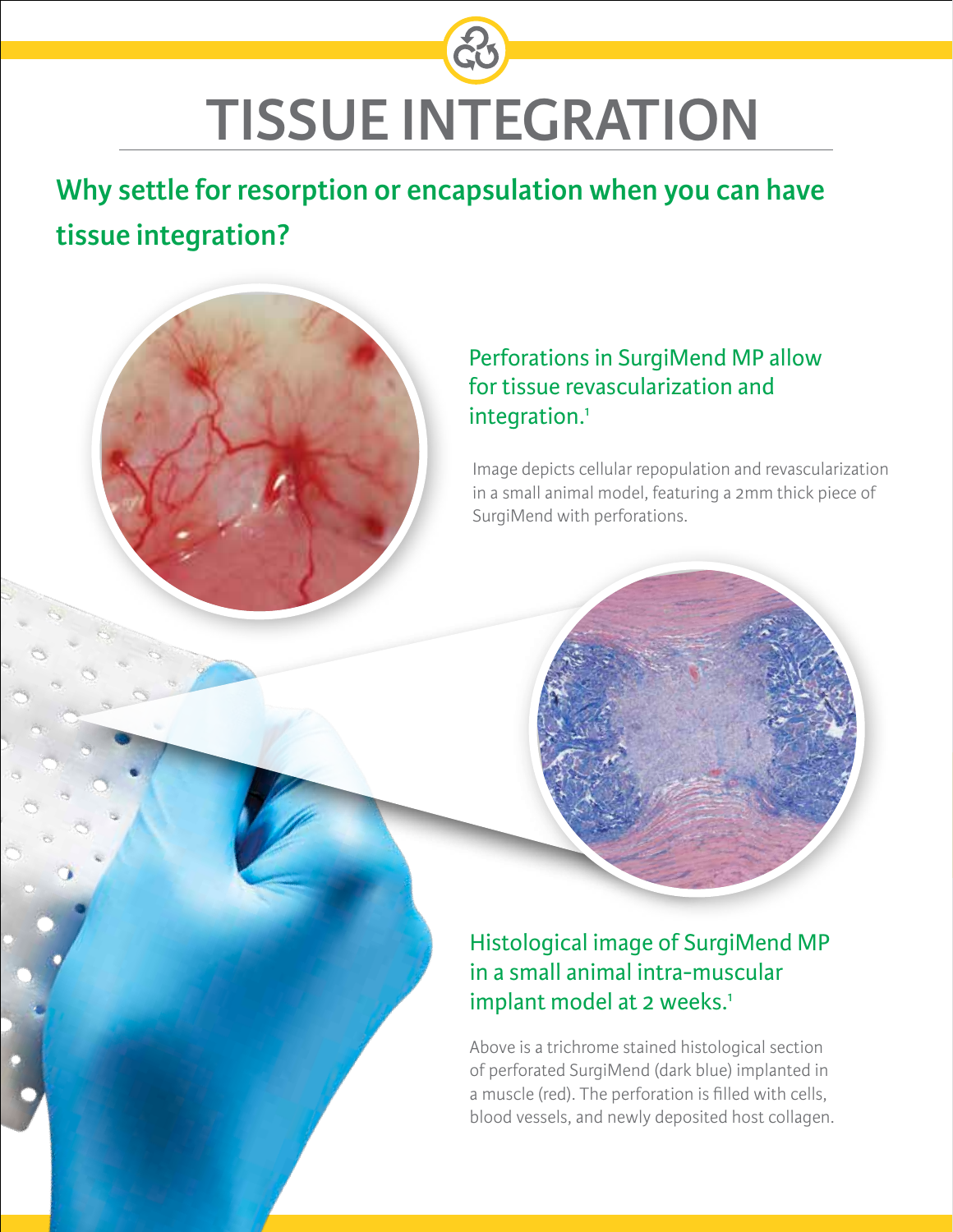## **TISSUE INTEGRATION**

**Why settle for resorption or encapsulation when you can have tissue integration?**

## Perforations in SurgiMend MP allow for tissue revascularization and integration.<sup>1</sup>

Image depicts cellular repopulation and revascularization in a small animal model, featuring a 2mm thick piece of SurgiMend with perforations.



## Histological image of SurgiMend MP in a small animal intra-muscular implant model at 2 weeks.<sup>1</sup>

Above is a trichrome stained histological section of perforated SurgiMend (dark blue) implanted in a muscle (red). The perforation is filled with cells, blood vessels, and newly deposited host collagen.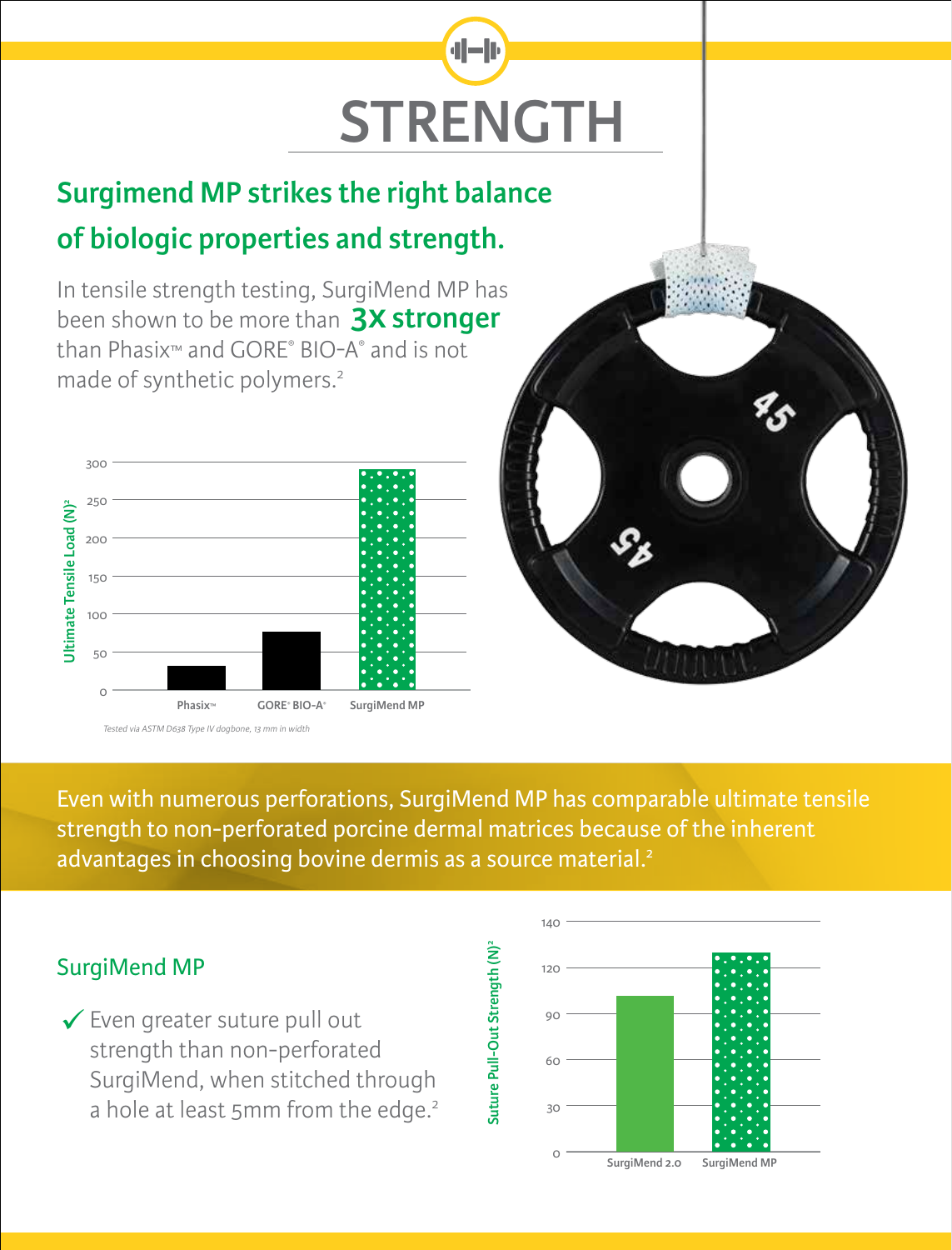## al-le **STRENGTH**

## **Surgimend MP strikes the right balance of biologic properties and strength.**

In tensile strength testing, SurgiMend MP has been shown to be more than **3x stronger** than Phasix™ and GORE® BIO-A® and is not made of synthetic polymers.2





Even with numerous perforations, SurgiMend MP has comparable ultimate tensile strength to non-perforated porcine dermal matrices because of the inherent advantages in choosing bovine dermis as a source material.<sup>2</sup>

Suture Pull-Out Strength (N)<sup>2</sup>

Suture Pull-Out Strength (N)

## SurgiMend MP

Even greater suture pull out strength than non-perforated SurgiMend, when stitched through a hole at least 5mm from the edge.<sup>2</sup>

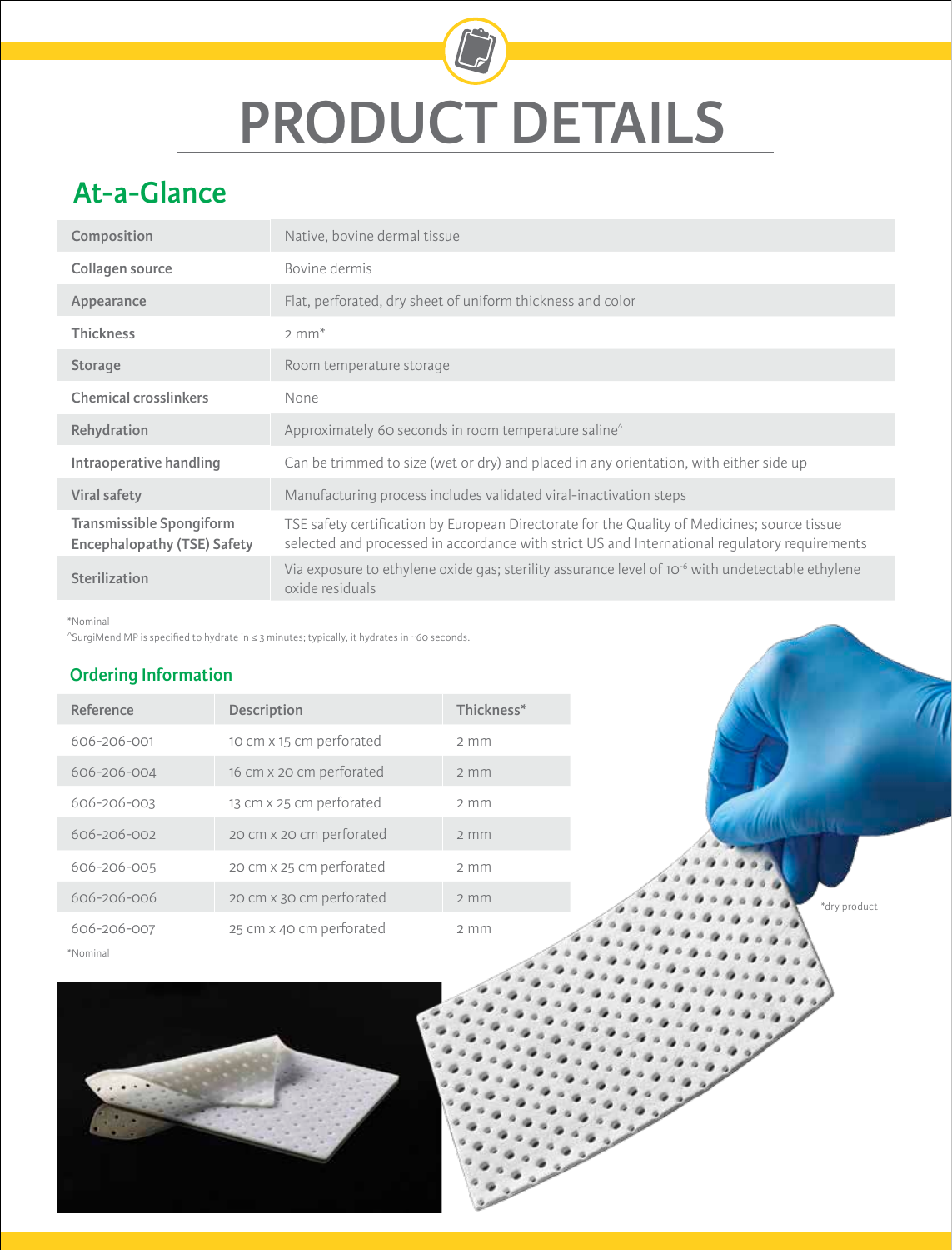# **PRODUCT DETAILS**

## **At-a-Glance**

| Composition                                                    | Native, bovine dermal tissue                                                                                                                                                                  |
|----------------------------------------------------------------|-----------------------------------------------------------------------------------------------------------------------------------------------------------------------------------------------|
| Collagen source                                                | Bovine dermis                                                                                                                                                                                 |
| Appearance                                                     | Flat, perforated, dry sheet of uniform thickness and color                                                                                                                                    |
| <b>Thickness</b>                                               | $2 \text{ mm}^*$                                                                                                                                                                              |
| <b>Storage</b>                                                 | Room temperature storage                                                                                                                                                                      |
| <b>Chemical crosslinkers</b>                                   | None                                                                                                                                                                                          |
| Rehydration                                                    | Approximately 60 seconds in room temperature saline <sup>^</sup>                                                                                                                              |
| Intraoperative handling                                        | Can be trimmed to size (wet or dry) and placed in any orientation, with either side up                                                                                                        |
| <b>Viral safety</b>                                            | Manufacturing process includes validated viral-inactivation steps                                                                                                                             |
| Transmissible Spongiform<br><b>Encephalopathy (TSE) Safety</b> | TSE safety certification by European Directorate for the Quality of Medicines; source tissue<br>selected and processed in accordance with strict US and International regulatory requirements |
| Sterilization                                                  | Via exposure to ethylene oxide gas; sterility assurance level of 10 <sup>-6</sup> with undetectable ethylene<br>oxide residuals                                                               |

\*Nominal

^SurgiMend MP is specified to hydrate in ≤ 3 minutes; typically, it hydrates in ~60 seconds.

### **Ordering Information**

| Reference   | Description              | Thickness*       |
|-------------|--------------------------|------------------|
| 606-206-001 | 10 cm x 15 cm perforated | $2 \, \text{mm}$ |
| 606-206-004 | 16 cm x 20 cm perforated | $2 \, \text{mm}$ |
| 606-206-003 | 13 cm x 25 cm perforated | $2 \, \text{mm}$ |
| 606-206-002 | 20 cm x 20 cm perforated | $2 \, \text{mm}$ |
| 606-206-005 | 20 cm x 25 cm perforated | $2 \, \text{mm}$ |
| 606-206-006 | 20 cm x 30 cm perforated | $2$ mm           |
| 606-206-007 | 25 cm x 40 cm perforated | $2 \, \text{mm}$ |
| *Nominal    |                          |                  |